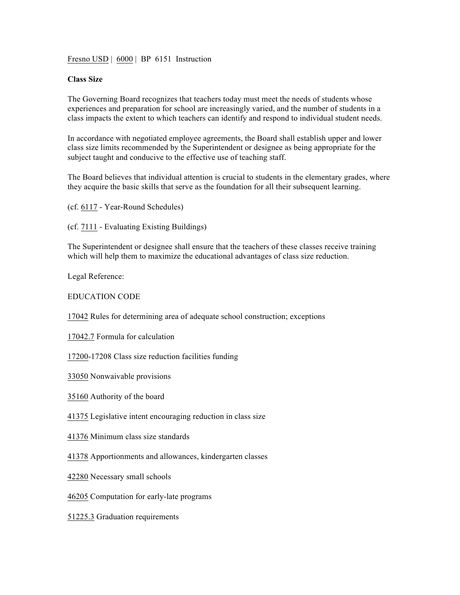Fresno USD | 6000 | BP 6151 Instruction

## **Class Size**

The Governing Board recognizes that teachers today must meet the needs of students whose experiences and preparation for school are increasingly varied, and the number of students in a class impacts the extent to which teachers can identify and respond to individual student needs.

In accordance with negotiated employee agreements, the Board shall establish upper and lower class size limits recommended by the Superintendent or designee as being appropriate for the subject taught and conducive to the effective use of teaching staff.

The Board believes that individual attention is crucial to students in the elementary grades, where they acquire the basic skills that serve as the foundation for all their subsequent learning.

(cf. 6117 - Year-Round Schedules)

(cf. 7111 - Evaluating Existing Buildings)

The Superintendent or designee shall ensure that the teachers of these classes receive training which will help them to maximize the educational advantages of class size reduction.

Legal Reference:

EDUCATION CODE

17042 Rules for determining area of adequate school construction; exceptions

17042.7 Formula for calculation

17200-17208 Class size reduction facilities funding

33050 Nonwaivable provisions

35160 Authority of the board

41375 Legislative intent encouraging reduction in class size

41376 Minimum class size standards

41378 Apportionments and allowances, kindergarten classes

42280 Necessary small schools

46205 Computation for early-late programs

51225.3 Graduation requirements